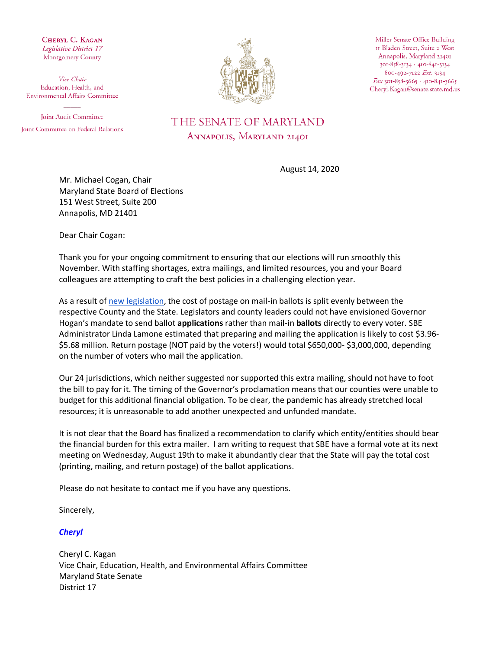CHERYL C. KAGAN Legislative District 17 Montgomery County

Vice Chair Education, Health, and **Environmental Affairs Committee** 

Joint Audit Committee Joint Committee on Federal Relations



Miller Senate Office Building II Bladen Street, Suite 2 West Annapolis, Maryland 21401 301-858-3134 · 410-841-3134 800-492-7122 Ext. 3134 Fax 301-858-3665 · 410-841-3665 Cheryl.Kagan@senate.state.md.us

## THE SENATE OF MARYLAND ANNAPOLIS, MARYLAND 21401

August 14, 2020

Mr. Michael Cogan, Chair Maryland State Board of Elections 151 West Street, Suite 200 Annapolis, MD 21401

Dear Chair Cogan:

Thank you for your ongoing commitment to ensuring that our elections will run smoothly this November. With staffing shortages, extra mailings, and limited resources, you and your Board colleagues are attempting to craft the best policies in a challenging election year.

As a result o[f new legislation,](http://mgaleg.maryland.gov/mgawebsite/Legislation/Details/sb0145) the cost of postage on mail-in ballots is split evenly between the respective County and the State. Legislators and county leaders could not have envisioned Governor Hogan's mandate to send ballot **applications** rather than mail-in **ballots** directly to every voter. SBE Administrator Linda Lamone estimated that preparing and mailing the application is likely to cost \$3.96- \$5.68 million. Return postage (NOT paid by the voters!) would total \$650,000- \$3,000,000, depending on the number of voters who mail the application.

Our 24 jurisdictions, which neither suggested nor supported this extra mailing, should not have to foot the bill to pay for it. The timing of the Governor's proclamation means that our counties were unable to budget for this additional financial obligation. To be clear, the pandemic has already stretched local resources; it is unreasonable to add another unexpected and unfunded mandate.

It is not clear that the Board has finalized a recommendation to clarify which entity/entities should bear the financial burden for this extra mailer. I am writing to request that SBE have a formal vote at its next meeting on Wednesday, August 19th to make it abundantly clear that the State will pay the total cost (printing, mailing, and return postage) of the ballot applications.

Please do not hesitate to contact me if you have any questions.

Sincerely,

*Cheryl*

Cheryl C. Kagan Vice Chair, Education, Health, and Environmental Affairs Committee Maryland State Senate District 17